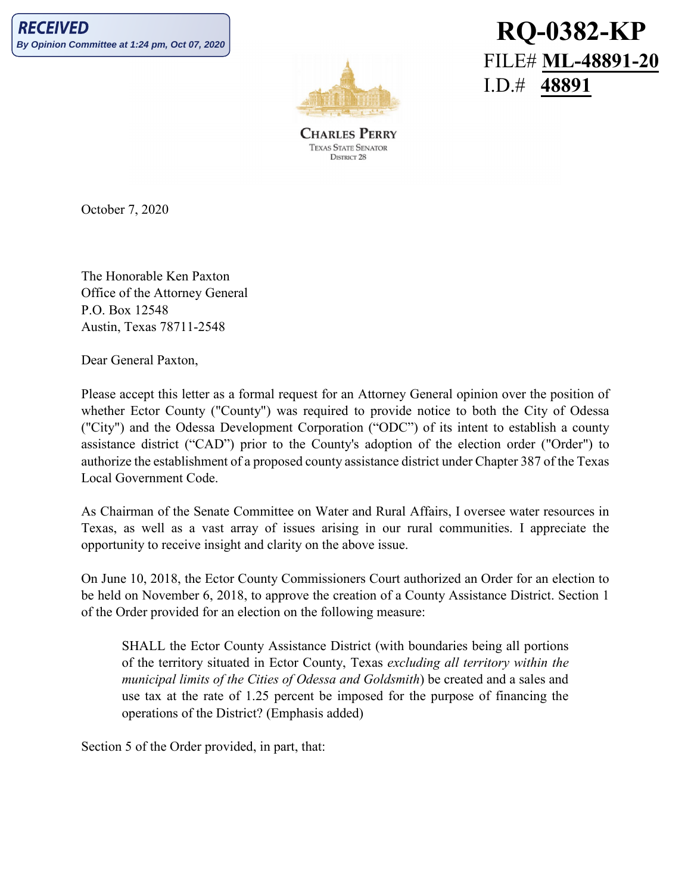

**RQ-0382-KP** FILE# **ML-48891-20** I.D.# **48891**

**CHARLES PERRY TEXAS STATE SENATOR** DISTRICT 28

October 7, 2020

The Honorable Ken Paxton Office of the Attorney General P.O. Box 12548 Austin, Texas 78711-2548

Dear General Paxton,

Please accept this letter as a formal request for an Attorney General opinion over the position of whether Ector County ("County") was required to provide notice to both the City of Odessa ("City") and the Odessa Development Corporation ("ODC") of its intent to establish a county assistance district ("CAD") prior to the County's adoption of the election order ("Order") to authorize the establishment of a proposed county assistance district under Chapter 387 of the Texas Local Government Code.

As Chairman of the Senate Committee on Water and Rural Affairs, I oversee water resources in Texas, as well as a vast array of issues arising in our rural communities. I appreciate the opportunity to receive insight and clarity on the above issue.

On June 10, 2018, the Ector County Commissioners Court authorized an Order for an election to be held on November 6, 2018, to approve the creation of a County Assistance District. Section 1 of the Order provided for an election on the following measure:

SHALL the Ector County Assistance District (with boundaries being all portions of the territory situated in Ector County, Texas *excluding all territory within the municipal limits of the Cities of Odessa and Goldsmith*) be created and a sales and use tax at the rate of 1.25 percent be imposed for the purpose of financing the operations of the District? (Emphasis added)

Section 5 of the Order provided, in part, that: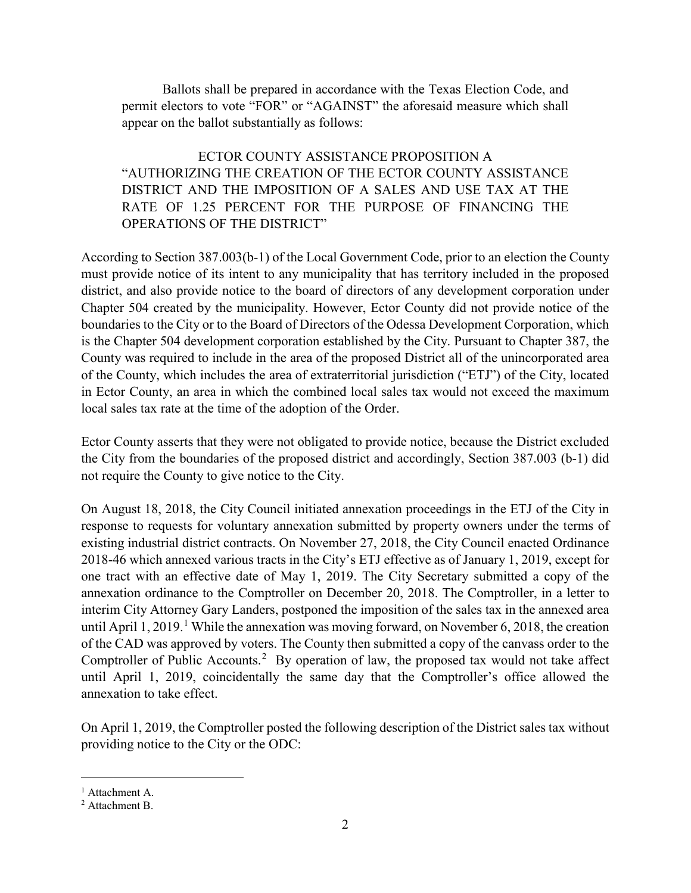Ballots shall be prepared in accordance with the Texas Election Code, and permit electors to vote "FOR" or "AGAINST" the aforesaid measure which shall appear on the ballot substantially as follows:

ECTOR COUNTY ASSISTANCE PROPOSITION A "AUTHORIZING THE CREATION OF THE ECTOR COUNTY ASSISTANCE DISTRICT AND THE IMPOSITION OF A SALES AND USE TAX AT THE RATE OF 1.25 PERCENT FOR THE PURPOSE OF FINANCING THE OPERATIONS OF THE DISTRICT"

According to Section 387.003(b-1) of the Local Government Code, prior to an election the County must provide notice of its intent to any municipality that has territory included in the proposed district, and also provide notice to the board of directors of any development corporation under Chapter 504 created by the municipality. However, Ector County did not provide notice of the boundaries to the City or to the Board of Directors of the Odessa Development Corporation, which is the Chapter 504 development corporation established by the City. Pursuant to Chapter 387, the County was required to include in the area of the proposed District all of the unincorporated area of the County, which includes the area of extraterritorial jurisdiction ("ETJ") of the City, located in Ector County, an area in which the combined local sales tax would not exceed the maximum local sales tax rate at the time of the adoption of the Order.

Ector County asserts that they were not obligated to provide notice, because the District excluded the City from the boundaries of the proposed district and accordingly, Section 387.003 (b-1) did not require the County to give notice to the City.

On August 18, 2018, the City Council initiated annexation proceedings in the ETJ of the City in response to requests for voluntary annexation submitted by property owners under the terms of existing industrial district contracts. On November 27, 2018, the City Council enacted Ordinance 2018-46 which annexed various tracts in the City's ETJ effective as of January 1, 2019, except for one tract with an effective date of May 1, 2019. The City Secretary submitted a copy of the annexation ordinance to the Comptroller on December 20, 2018. The Comptroller, in a letter to interim City Attorney Gary Landers, postponed the imposition of the sales tax in the annexed area until April [1](#page-1-0), 2019.<sup>1</sup> While the annexation was moving forward, on November 6, 2018, the creation of the CAD was approved by voters. The County then submitted a copy of the canvass order to the Comptroller of Public Accounts.<sup>[2](#page-1-1)</sup> By operation of law, the proposed tax would not take affect until April 1, 2019, coincidentally the same day that the Comptroller's office allowed the annexation to take effect.

On April 1, 2019, the Comptroller posted the following description of the District sales tax without providing notice to the City or the ODC:

 $\overline{a}$ 

<span id="page-1-0"></span><sup>&</sup>lt;sup>1</sup> Attachment A.

<span id="page-1-1"></span><sup>2</sup> Attachment B.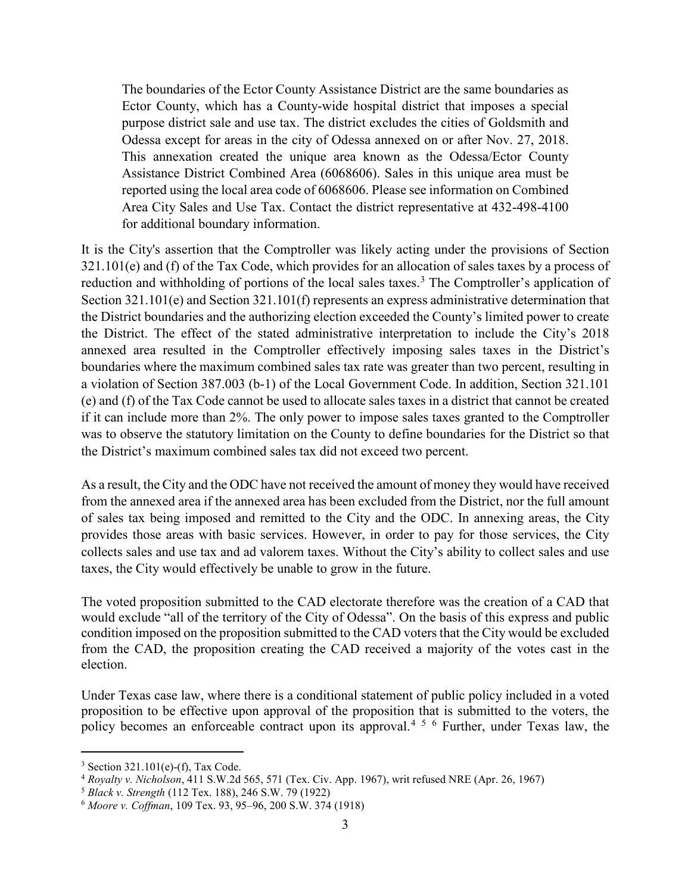The boundaries of the Ector County Assistance District are the same boundaries as Ector County, which has a County-wide hospital district that imposes a special purpose district sale and use tax. The district excludes the cities of Goldsmith and Odessa except for areas in the city of Odessa annexed on or after Nov. 27, 2018. This annexation created the unique area known as the Odessa/Ector County Assistance District Combined Area (6068606). Sales in this unique area must be reported using the local area code of 6068606. Please see information on Combined Area City Sales and Use Tax. Contact the district representative at 432-498-4100 for additional boundary information.

It is the City's assertion that the Comptroller was likely acting under the provisions of Section 321.101(e) and (f) of the Tax Code, which provides for an allocation of sales taxes by a process of reduction and withholding of portions of the local sales taxes.<sup>[3](#page-2-0)</sup> The Comptroller's application of Section 321.101(e) and Section 321.101(f) represents an express administrative determination that the District boundaries and the authorizing election exceeded the County's limited power to create the District. The effect of the stated administrative interpretation to include the City's 2018 annexed area resulted in the Comptroller effectively imposing sales taxes in the District's boundaries where the maximum combined sales tax rate was greater than two percent, resulting in a violation of Section 387.003 (b-1) of the Local Government Code. In addition, Section 321.101 (e) and (f) of the Tax Code cannot be used to allocate sales taxes in a district that cannot be created if it can include more than 2%. The only power to impose sales taxes granted to the Comptroller was to observe the statutory limitation on the County to define boundaries for the District so that the District's maximum combined sales tax did not exceed two percent.

As a result, the City and the ODC have not received the amount of money they would have received from the annexed area if the annexed area has been excluded from the District, nor the full amount of sales tax being imposed and remitted to the City and the ODC. In annexing areas, the City provides those areas with basic services. However, in order to pay for those services, the City collects sales and use tax and ad valorem taxes. Without the City's ability to collect sales and use taxes, the City would effectively be unable to grow in the future.

The voted proposition submitted to the CAD electorate therefore was the creation of a CAD that would exclude "all of the territory of the City of Odessa". On the basis of this express and public condition imposed on the proposition submitted to the CAD voters that the City would be excluded from the CAD, the proposition creating the CAD received a majority of the votes cast in the election.

Under Texas case law, where there is a conditional statement of public policy included in a voted proposition to be effective upon approval of the proposition that is submitted to the voters, the policy becomes an enforceable contract upon its approval.<sup>[4](#page-2-1) [5](#page-2-2) [6](#page-2-3)</sup> Further, under Texas law, the

l

<span id="page-2-1"></span><span id="page-2-0"></span><sup>3</sup> Section 321.101(e)-(f), Tax Code. 4 *Royalty v. Nicholson*, 411 S.W.2d 565, 571 (Tex. Civ. App. 1967), writ refused NRE (Apr. 26, 1967)

<span id="page-2-2"></span><sup>5</sup> *Black v. Strength* (112 Tex. 188), 246 S.W. 79 (1922)

<span id="page-2-3"></span><sup>6</sup> *Moore v. Coffman*, 109 Tex. 93, 95–96, 200 S.W. 374 (1918)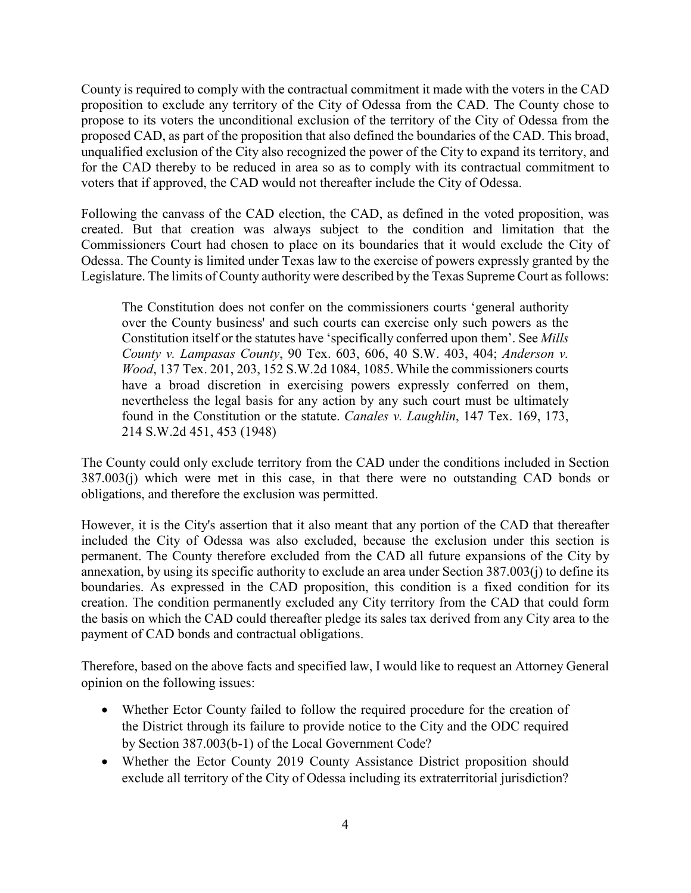County is required to comply with the contractual commitment it made with the voters in the CAD proposition to exclude any territory of the City of Odessa from the CAD. The County chose to propose to its voters the unconditional exclusion of the territory of the City of Odessa from the proposed CAD, as part of the proposition that also defined the boundaries of the CAD. This broad, unqualified exclusion of the City also recognized the power of the City to expand its territory, and for the CAD thereby to be reduced in area so as to comply with its contractual commitment to voters that if approved, the CAD would not thereafter include the City of Odessa.

Following the canvass of the CAD election, the CAD, as defined in the voted proposition, was created. But that creation was always subject to the condition and limitation that the Commissioners Court had chosen to place on its boundaries that it would exclude the City of Odessa. The County is limited under Texas law to the exercise of powers expressly granted by the Legislature. The limits of County authority were described by the Texas Supreme Court as follows:

The Constitution does not confer on the commissioners courts 'general authority over the County business' and such courts can exercise only such powers as the Constitution itself or the statutes have 'specifically conferred upon them'. See *Mills County v. Lampasas County*, 90 Tex. 603, 606, 40 S.W. 403, 404; *Anderson v. Wood*, 137 Tex. 201, 203, 152 S.W.2d 1084, 1085. While the commissioners courts have a broad discretion in exercising powers expressly conferred on them, nevertheless the legal basis for any action by any such court must be ultimately found in the Constitution or the statute. *Canales v. Laughlin*, 147 Tex. 169, 173, 214 S.W.2d 451, 453 (1948)

The County could only exclude territory from the CAD under the conditions included in Section 387.003(j) which were met in this case, in that there were no outstanding CAD bonds or obligations, and therefore the exclusion was permitted.

However, it is the City's assertion that it also meant that any portion of the CAD that thereafter included the City of Odessa was also excluded, because the exclusion under this section is permanent. The County therefore excluded from the CAD all future expansions of the City by annexation, by using its specific authority to exclude an area under Section 387.003(j) to define its boundaries. As expressed in the CAD proposition, this condition is a fixed condition for its creation. The condition permanently excluded any City territory from the CAD that could form the basis on which the CAD could thereafter pledge its sales tax derived from any City area to the payment of CAD bonds and contractual obligations.

Therefore, based on the above facts and specified law, I would like to request an Attorney General opinion on the following issues:

- Whether Ector County failed to follow the required procedure for the creation of the District through its failure to provide notice to the City and the ODC required by Section 387.003(b-1) of the Local Government Code?
- Whether the Ector County 2019 County Assistance District proposition should exclude all territory of the City of Odessa including its extraterritorial jurisdiction?